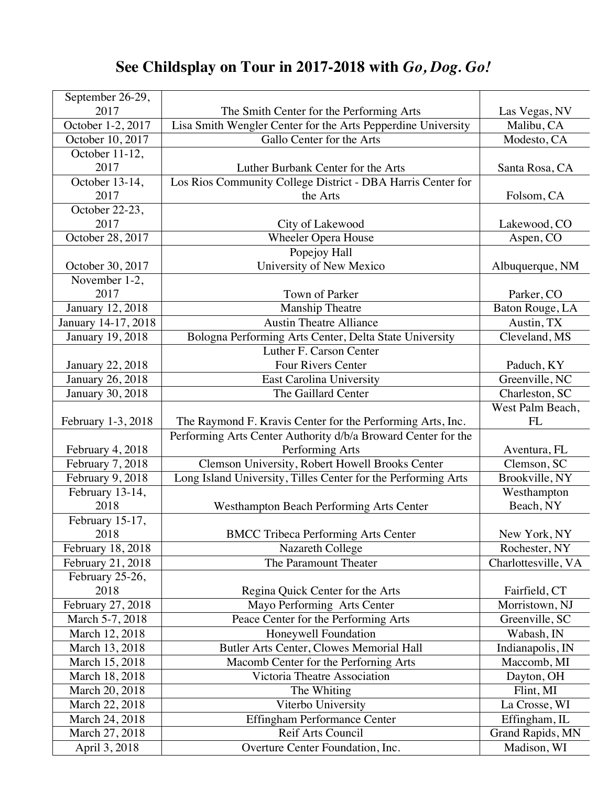## **See Childsplay on Tour in 2017-2018 with** *Go, Dog. Go!*

| September 26-29,    |                                                               |                     |
|---------------------|---------------------------------------------------------------|---------------------|
| 2017                | The Smith Center for the Performing Arts                      | Las Vegas, NV       |
| October 1-2, 2017   | Lisa Smith Wengler Center for the Arts Pepperdine University  | Malibu, CA          |
| October 10, 2017    | Gallo Center for the Arts                                     | Modesto, CA         |
| October 11-12,      |                                                               |                     |
| 2017                | Luther Burbank Center for the Arts                            | Santa Rosa, CA      |
| October 13-14,      | Los Rios Community College District - DBA Harris Center for   |                     |
| 2017                | the Arts                                                      | Folsom, CA          |
| October 22-23,      |                                                               |                     |
| 2017                | City of Lakewood                                              | Lakewood, CO        |
| October 28, 2017    | <b>Wheeler Opera House</b>                                    | Aspen, CO           |
|                     | Popejoy Hall                                                  |                     |
| October 30, 2017    | University of New Mexico                                      | Albuquerque, NM     |
| November 1-2,       |                                                               |                     |
| 2017                | Town of Parker                                                | Parker, CO          |
| January 12, 2018    | <b>Manship Theatre</b>                                        | Baton Rouge, LA     |
| January 14-17, 2018 | <b>Austin Theatre Alliance</b>                                | Austin, TX          |
| January 19, 2018    | Bologna Performing Arts Center, Delta State University        | Cleveland, MS       |
|                     | Luther F. Carson Center                                       |                     |
| January 22, 2018    | Four Rivers Center                                            | Paduch, KY          |
| January 26, 2018    | East Carolina University                                      | Greenville, NC      |
| January 30, 2018    | The Gaillard Center                                           | Charleston, SC      |
|                     |                                                               | West Palm Beach,    |
| February 1-3, 2018  | The Raymond F. Kravis Center for the Performing Arts, Inc.    | FL                  |
|                     | Performing Arts Center Authority d/b/a Broward Center for the |                     |
| February 4, 2018    | Performing Arts                                               | Aventura, FL        |
| February 7, 2018    | Clemson University, Robert Howell Brooks Center               | Clemson, SC         |
| February 9, 2018    | Long Island University, Tilles Center for the Performing Arts | Brookville, NY      |
| February 13-14,     |                                                               | Westhampton         |
| 2018                | Westhampton Beach Performing Arts Center                      | Beach, NY           |
| February 15-17,     |                                                               |                     |
| 2018                | <b>BMCC Tribeca Performing Arts Center</b>                    | New York, NY        |
| February 18, 2018   | Nazareth College                                              | Rochester, NY       |
| February 21, 2018   | The Paramount Theater                                         | Charlottesville, VA |
| February 25-26,     |                                                               |                     |
| 2018                | Regina Quick Center for the Arts                              | Fairfield, CT       |
| February 27, 2018   | Mayo Performing Arts Center                                   | Morristown, NJ      |
| March 5-7, 2018     | Peace Center for the Performing Arts                          | Greenville, SC      |
| March 12, 2018      | Honeywell Foundation                                          | Wabash, IN          |
| March 13, 2018      | Butler Arts Center, Clowes Memorial Hall                      | Indianapolis, IN    |
| March 15, 2018      | Macomb Center for the Perforning Arts                         | Maccomb, MI         |
| March 18, 2018      | Victoria Theatre Association                                  | Dayton, OH          |
| March 20, 2018      | The Whiting                                                   | Flint, MI           |
| March 22, 2018      | Viterbo University                                            | La Crosse, WI       |
| March 24, 2018      | <b>Effingham Performance Center</b>                           | Effingham, IL       |
| March 27, 2018      | Reif Arts Council                                             | Grand Rapids, MN    |
| April 3, 2018       | Overture Center Foundation, Inc.                              | Madison, WI         |